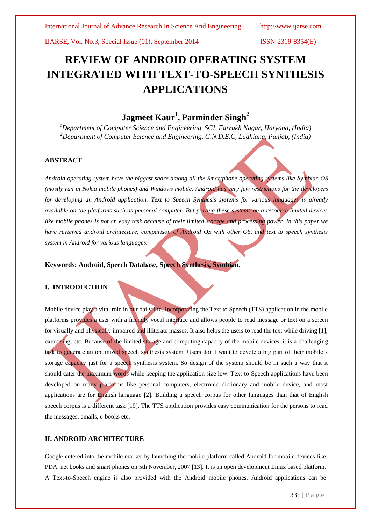# **REVIEW OF ANDROID OPERATING SYSTEM INTEGRATED WITH TEXT-TO-SPEECH SYNTHESIS APPLICATIONS**

## **Jagmeet Kaur<sup>1</sup> , Parminder Singh<sup>2</sup>**

*<sup>1</sup>Department of Computer Science and Engineering, SGI, Farrukh Nagar, Haryana, (India) <sup>2</sup>Department of Computer Science and Engineering, G.N.D.E.C, Ludhiana, Punjab, (India)*

### **ABSTRACT**

*Android operating system have the biggest share among all the Smartphone operating systems like Symbian OS (mostly run in Nokia mobile phones) and Windows mobile. Android has very few restrictions for the developers for developing an Android application. Text to Speech Synthesis systems for various languages is already available on the platforms such as personal computer. But porting these systems on a resource limited devices like mobile phones is not an easy task because of their limited storage and processing power. In this paper we have reviewed android architecture, comparison of Android OS with other OS, and text to speech synthesis system in Android for various languages.*

**Keywords: Android, Speech Database, Speech Synthesis, Symbian.**

### **I. INTRODUCTION**

Mobile device play a vital role in our daily life. Incorporating the Text to Speech (TTS) application in the mobile platforms provides a user with a friendly vocal interface and allows people to read message or text on a screen for visually and physically impaired and illiterate masses. It also helps the users to read the text while driving [1], exercising, etc. Because of the limited storage and computing capacity of the mobile devices, it is a challenging task to generate an optimized speech synthesis system. Users don't want to devote a big part of their mobile's storage capacity just for a speech synthesis system. So design of the system should be in such a way that it should cater the maximum words while keeping the application size low. Text-to-Speech applications have been developed on many platforms like personal computers, electronic dictionary and mobile device, and most applications are for English language [2]. Building a speech corpus for other languages than that of English speech corpus is a different task [19]. The TTS application provides easy communication for the persons to read the messages, emails, e-books etc.

### **II. ANDROID ARCHITECTURE**

Google entered into the mobile market by launching the mobile platform called Android for mobile devices like PDA, net books and smart phones on 5th November, 2007 [13]. It is an open development Linux based platform. A Text-to-Speech engine is also provided with the Android mobile phones. Android applications can be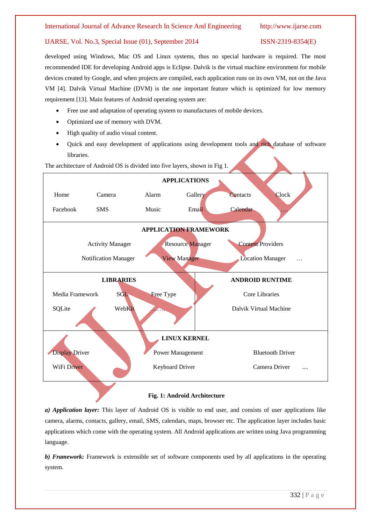developed using Windows, Mac OS and Linux systems, thus no special hardware is required. The most recommended IDE for developing Android apps is Eclipse. Dalvik is the virtual machine environment for mobile devices created by Google, and when projects are compiled, each application runs on its own VM, not on the Java VM [4]. Dalvik Virtual Machine (DVM) is the one important feature which is optimized for low memory requirement [13]. Main features of Android operating system are:

- Free use and adaptation of operating system to manufactures of mobile devices.
- Optimized use of memory with DVM.
- High quality of audio visual content.
- Quick and easy development of applications using development tools and rich database of software libraries.

**APPLICATIONS** Home Camera Alarm Gallery Contacts Clock Facebook SMS Music Email Calendar ... **APPLICATION FRAMEWORK** Activity Manager Resource Manager Content Providers Notification Manager View Manager Location Manager … **LIBRARIES** Media Framework SGL Free Type SQLite WebKit **ANDROID RUNTIME** Core Libraries Dalvik Virtual Machine **LINUX KERNEL Display Driver Power Management Bluetooth Driver** WiFi Driver **Keyboard Driver Camera Driver** .... ٦

### The architecture of Android OS is divided into five layers, shown in Fig 1.

### **Fig. 1: Android Architecture**

*a) Application layer:* This layer of Android OS is visible to end user, and consists of user applications like camera, alarms, contacts, gallery, email, SMS, calendars, maps, browser etc. The application layer includes basic applications which come with the operating system. All Android applications are written using Java programming language.

*b) Framework:* Framework is extensible set of software components used by all applications in the operating system.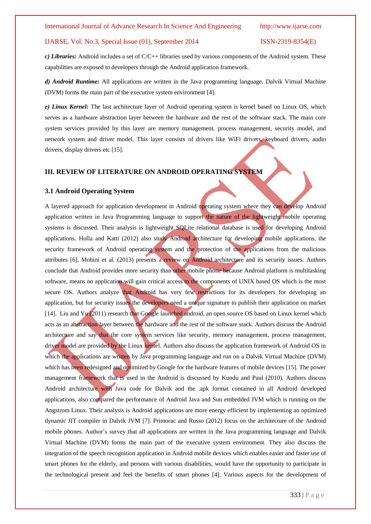*c) Libraries:* Android includes a set of C/C++ libraries used by various components of the Android system. These capabilities are exposed to developers through the Android application framework.

*d) Android Runtime:* All applications are written in the Java programming language. Dalvik Virtual Machine (DVM) forms the main part of the executive system environment [4].

*e) Linux Kernel:* The last architecture layer of Android operating system is kernel based on Linux OS, which serves as a hardware abstraction layer between the hardware and the rest of the software stack. The main core system services provided by this layer are memory management, process management, security model, and network system and driver model. This layer consists of drivers like WiFi drivers, keyboard drivers, audio drivers, display drivers etc [15].

### **III. REVIEW OF LITERATURE ON ANDROID OPERATING SYSTEM**

### **3.1 Android Operating System**

A layered approach for application development in Android operating system where they can develop Android application written in Java Programming language to support the nature of the lightweight mobile operating systems is discussed. Their analysis is lightweight SQLite relational database is used for developing Android applications. Holla and Katti (2012) also study Android architecture for developing mobile applications, the security framework of Android operating system and the protection of the applications from the malicious attributes [6]. Mohini et al. (2013) presents a review on Android architecture and its security issues. Authors conclude that Android provides more security than other mobile phone because Android platform is multitasking software, means no application will gain critical access to the components of UNIX based OS which is the most secure OS. Authors analyze that Android has very few restrictions for its developers for developing an application, but for security issues the developers need a unique signature to publish their application on market [14]. Liu and Yu (2011) research that Google launched android, an open source OS based on Linux kernel which acts as an abstraction layer between the hardware and the rest of the software stack. Authors discuss the Android architecture and say that the core system services like security, memory management, process management, driver model are provided by the Linux kernel. Authors also discuss the application framework of Android OS in which the applications are written by Java programming language and run on a Dalvik Virtual Machine (DVM) which has been redesigned and optimized by Google for the hardware features of mobile devices [15]. The power management framework that is used in the Android is discussed by Kundu and Paul (2010). Authors discuss Android architecture with Java code for Dalvik and the .apk format contained in all Android developed applications, also compared the performance of Android Java and Sun embedded JVM which is running on the Angstrom Linux. Their analysis is Android applications are more energy efficient by implementing an optimized dynamic JIT compiler in Dalvik JVM [7]. Primorac and Russo (2012) focus on the architecture of the Android mobile phones. Author's survey that all applications are written in the Java programming language and Dalvik Virtual Machine (DVM) forms the main part of the executive system environment. They also discuss the integration of the speech recognition application in Android mobile devices which enables easier and faster use of smart phones for the elderly, and persons with various disabilities, would have the opportunity to participate in the technological present and feel the benefits of smart phones [4]. Various aspects for the development of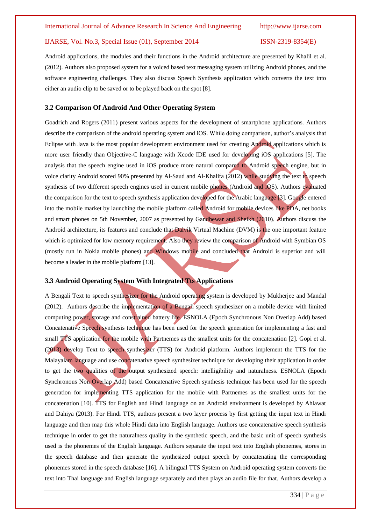Android applications, the modules and their functions in the Android architecture are presented by Khalil et al. (2012). Authors also proposed system for a voiced based text messaging system utilizing Android phones, and the software engineering challenges. They also discuss Speech Synthesis application which converts the text into either an audio clip to be saved or to be played back on the spot [8].

### **3.2 Comparison Of Android And Other Operating System**

Goadrich and Rogers (2011) present various aspects for the development of smartphone applications. Authors describe the comparison of the android operating system and iOS. While doing comparison, author's analysis that Eclipse with Java is the most popular development environment used for creating Android applications which is more user friendly than Objective-C language with Xcode IDE used for developing iOS applications [5]. The analysis that the speech engine used in iOS produce more natural compared to Android speech engine, but in voice clarity Android scored 90% presented by Al-Saud and Al-Khalifa (2012) while studying the text to speech synthesis of two different speech engines used in current mobile phones (Android and iOS). Authors evaluated the comparison for the text to speech synthesis application developed for the Arabic language [3]. Google entered into the mobile market by launching the mobile platform called Android for mobile devices like PDA, net books and smart phones on 5th November, 2007 as presented by Gandhewar and Sheikh (2010). Authors discuss the Android architecture, its features and conclude that Dalvik Virtual Machine (DVM) is the one important feature which is optimized for low memory requirement. Also they review the comparison of Android with Symbian OS (mostly run in Nokia mobile phones) and Windows mobile and concluded that Android is superior and will become a leader in the mobile platform [13].

### **3.3 Android Operating System With Integrated Tts Applications**

A Bengali Text to speech synthesizer for the Android operating system is developed by Mukherjee and Mandal (2012). Authors describe the implementation of a Bengali speech synthesizer on a mobile device with limited computing power, storage and constrained battery life. ESNOLA (Epoch Synchronous Non Overlap Add) based Concatenative Speech synthesis technique has been used for the speech generation for implementing a fast and small **TTS** application for the mobile with Partnemes as the smallest units for the concatenation [2]. Gopi et al. (2013) develop Text to speech synthesizer (TTS) for Android platform. Authors implement the TTS for the Malayalam language and use concatenative speech synthesizer technique for developing their application in order to get the two qualities of the output synthesized speech: intelligibility and naturalness. ESNOLA (Epoch Synchronous Non Overlap Add) based Concatenative Speech synthesis technique has been used for the speech generation for implementing TTS application for the mobile with Partnemes as the smallest units for the concatenation [10]. TTS for English and Hindi language on an Android environment is developed by Ahlawat and Dahiya (2013). For Hindi TTS, authors present a two layer process by first getting the input text in Hindi language and then map this whole Hindi data into English language. Authors use concatenative speech synthesis technique in order to get the naturalness quality in the synthetic speech, and the basic unit of speech synthesis used is the phonemes of the English language. Authors separate the input text into English phonemes, stores in the speech database and then generate the synthesized output speech by concatenating the corresponding phonemes stored in the speech database [16]. A bilingual TTS System on Android operating system converts the text into Thai language and English language separately and then plays an audio file for that. Authors develop a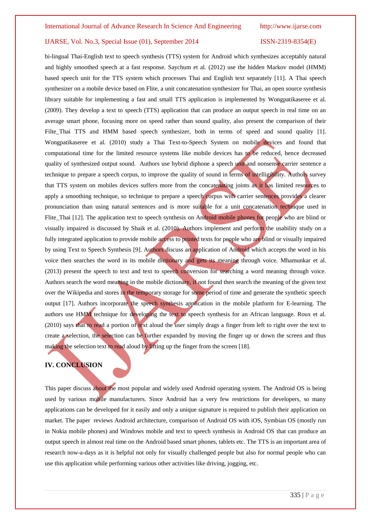bi-lingual Thai-English text to speech synthesis (TTS) system for Android which synthesizes acceptably natural and highly smoothed speech at a fast response. Saychum et al. (2012) use the hidden Markov model (HMM) based speech unit for the TTS system which processes Thai and English text separately [11]. A Thai speech synthesizer on a mobile device based on Flite, a unit concatenation synthesizer for Thai, an open source synthesis library suitable for implementing a fast and small TTS application is implemented by Wongpatikaseree et al. (2009). They develop a text to speech (TTS) application that can produce an output speech in real time on an average smart phone, focusing more on speed rather than sound quality, also present the comparison of their Filte\_Thai TTS and HMM based speech synthesizer, both in terms of speed and sound quality [1]. Wongpatikaseree et al. (2010) study a Thai Text-to-Speech System on mobile devices and found that computational time for the limited resource systems like mobile devices has to be reduced, hence decreased quality of synthesized output sound. Authors use hybrid diphone a speech unit and nonsense carrier sentence a technique to prepare a speech corpus, to improve the quality of sound in terms of intelligibility. Authors survey that TTS system on mobiles devices suffers more from the concatenating joints as it has limited resources to apply a smoothing technique, so technique to prepare a speech corpus with carrier sentences provides a clearer pronunciation than using natural sentences and is more suitable for a unit concatenation technique used in Flite\_Thai [12]. The application text to speech synthesis on Android mobile phones for people who are blind or visually impaired is discussed by Shaik et al. (2010). Authors implement and perform the usability study on a fully integrated application to provide mobile access to printed texts for people who are blind or visually impaired by using Text to Speech Synthesis [9]. Authors discuss an application of Android which accepts the word in his voice then searches the word in its mobile dictionary and gets its meaning through voice. Mhamunkar et al. (2013) present the speech to text and text to speech conversion for searching a word meaning through voice. Authors search the word meaning in the mobile dictionary, if not found then search the meaning of the given text over the Wikipedia and stores in the temporary storage for some period of time and generate the synthetic speech output [17]. Authors incorporate the speech synthesis application in the mobile platform for E-learning. The authors use HMM technique for developing the text to speech synthesis for an African language. Roux et al. (2010) says that to read a portion of text aloud the user simply drags a finger from left to right over the text to create a selection, the selection can be further expanded by moving the finger up or down the screen and thus making the selection text to read aloud by lifting up the finger from the screen [18].

### **IV. CONCLUSION**

This paper discuss about the most popular and widely used Android operating system. The Android OS is being used by various mobile manufacturers. Since Android has a very few restrictions for developers, so many applications can be developed for it easily and only a unique signature is required to publish their application on market. The paper reviews Android architecture, comparison of Android OS with iOS, Symbian OS (mostly run in Nokia mobile phones) and Windows mobile and text to speech synthesis in Android OS that can produce an output speech in almost real time on the Android based smart phones, tablets etc. The TTS is an important area of research now-a-days as it is helpful not only for visually challenged people but also for normal people who can use this application while performing various other activities like driving, jogging, etc.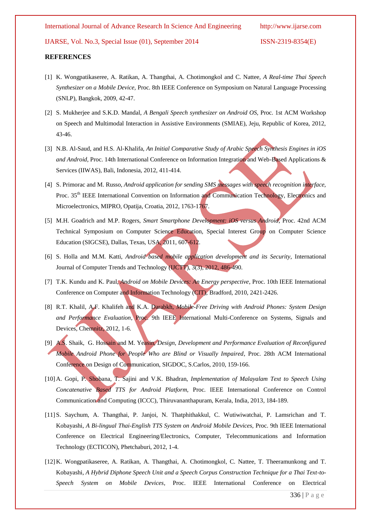International Journal of Advance Research In Science And Engineering http://www.ijarse.com

IJARSE, Vol. No.3, Special Issue (01), September 2014 ISSN-2319-8354(E)

### **REFERENCES**

- [1] K. Wongpatikaseree, A. Ratikan, A. Thangthai, A. Chotimongkol and C. Nattee, *A Real-time Thai Speech Synthesizer on a Mobile Device,* Proc. 8th IEEE Conference on Symposium on Natural Language Processing (SNLP), Bangkok, 2009, 42-47.
- [2] S. Mukherjee and S.K.D. Mandal, *A Bengali Speech synthesizer on Android OS,* Proc. 1st ACM Workshop on Speech and Multimodal Interaction in Assistive Environments (SMIAE), Jeju, Republic of Korea, 2012, 43-46.
- [3] N.B. Al-Saud, and H.S. Al-Khalifa, *An Initial Comparative Study of Arabic Speech Synthesis Engines in iOS and Android*, Proc. 14th International Conference on Information Integration and Web-Based Applications & Services (IIWAS), Bali, Indonesia, 2012, 411-414.
- [4] S. Primorac and M. Russo, *Android application for sending SMS messages with speech recognition interface,*  Proc. 35<sup>th</sup> IEEE International Convention on Information and Communication Technology, Electronics and Microelectronics, MIPRO, Opatija, Croatia, 2012, 1763-1767.
- [5] M.H. Goadrich and M.P. Rogers, *Smart Smartphone Development: iOS versus Android*, Proc. 42nd ACM Technical Symposium on Computer Science Education, Special Interest Group on Computer Science Education (SIGCSE), Dallas, Texas, USA, 2011, 607-612.
- [6] S. Holla and M.M. Katti, *Android based mobile application development and its Security*, International Journal of Computer Trends and Technology (IJCTT), 3(3), 2012, 486-490.
- [7] T.K. Kundu and K. Paul, *Android on Mobile Devices: An Energy perspective*, Proc. 10th IEEE International Conference on Computer and Information Technology (CIT), Bradford, 2010, 2421-2426.
- [8] R.T. Khalil, A.F. Khalifeh and K.A. Darabkh, *Mobile-Free Driving with Android Phones: System Design*  and Performance Evaluation, Proc. 9th IEEE International Multi-Conference on Systems, Signals and Devices, Chemnitz, 2012, 1-6.
- [9] A.S. Shaik, G. Hossain and M. Yeasin, *Design, Development and Performance Evaluation of Reconfigured Mobile Android Phone for People Who are Blind or Visually Impaired*, Proc. 28th ACM International Conference on Design of Communication, SIGDOC, S.Carlos, 2010, 159-166.
- [10] A. Gopi, P. Shobana, T. Sajini and V.K. Bhadran, *Implementation of Malayalam Text to Speech Using Concatenative Based TTS for Android Platform,* Proc. IEEE International Conference on Control Communication and Computing (ICCC), Thiruvananthapuram, Kerala, India, 2013, 184-189.
- [11] S. Saychum, A. Thangthai, P. Janjoi, N. Thatphithakkul, C. Wutiwiwatchai, P. Lamsrichan and T. Kobayashi, *A Bi-lingual Thai-English TTS System on Android Mobile Devices,* Proc. 9th IEEE International Conference on Electrical Engineering/Electronics, Computer, Telecommunications and Information Technology (ECTICON), Phetchaburi, 2012, 1-4.
- [12] K. Wongpatikaseree, A. Ratikan, A. Thangthai, A. Chotimongkol, C. Nattee, T. Theeramunkong and T. Kobayashi, *A Hybrid Diphone Speech Unit and a Speech Corpus Construction Technique for a Thai Text-to-Speech System on Mobile Devices*, Proc. IEEE International Conference on Electrical